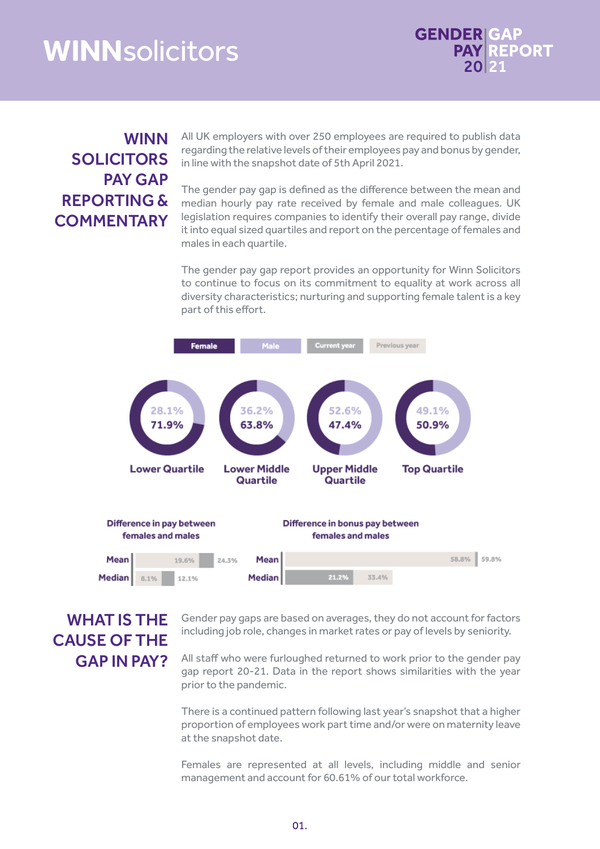## **WINNsolicitors**



## WINN SOLICITORS PAY GAP REPORTING & **COMMENTARY**

All UK employers with over 250 employees are required to publish data regarding the relative levels of their employees pay and bonus by gender, in line with the snapshot date of 5th April 2021.

The gender pay gap is defined as the difference between the mean and median hourly pay rate received by female and male colleagues. UK legislation requires companies to identify their overall pay range, divide it into equal sized quartiles and report on the percentage of females and males in each quartile.

The gender pay gap report provides an opportunity for Winn Solicitors to continue to focus on its commitment to equality at work across all diversity characteristics; nurturing and supporting female talent is a key part of this effort.



## WHAT IS THE CAUSE OF THE GAP IN PAY?

Gender pay gaps are based on averages, they do not account for factors including job role, changes in market rates or pay of levels by seniority.

All staff who were furloughed returned to work prior to the gender pay gap report 20-21. Data in the report shows similarities with the year prior to the pandemic.

There is a continued pattern following last year's snapshot that a higher proportion of employees work part time and/or were on maternity leave at the snapshot date.

Females are represented at all levels, including middle and senior management and account for 60.61% of our total workforce.